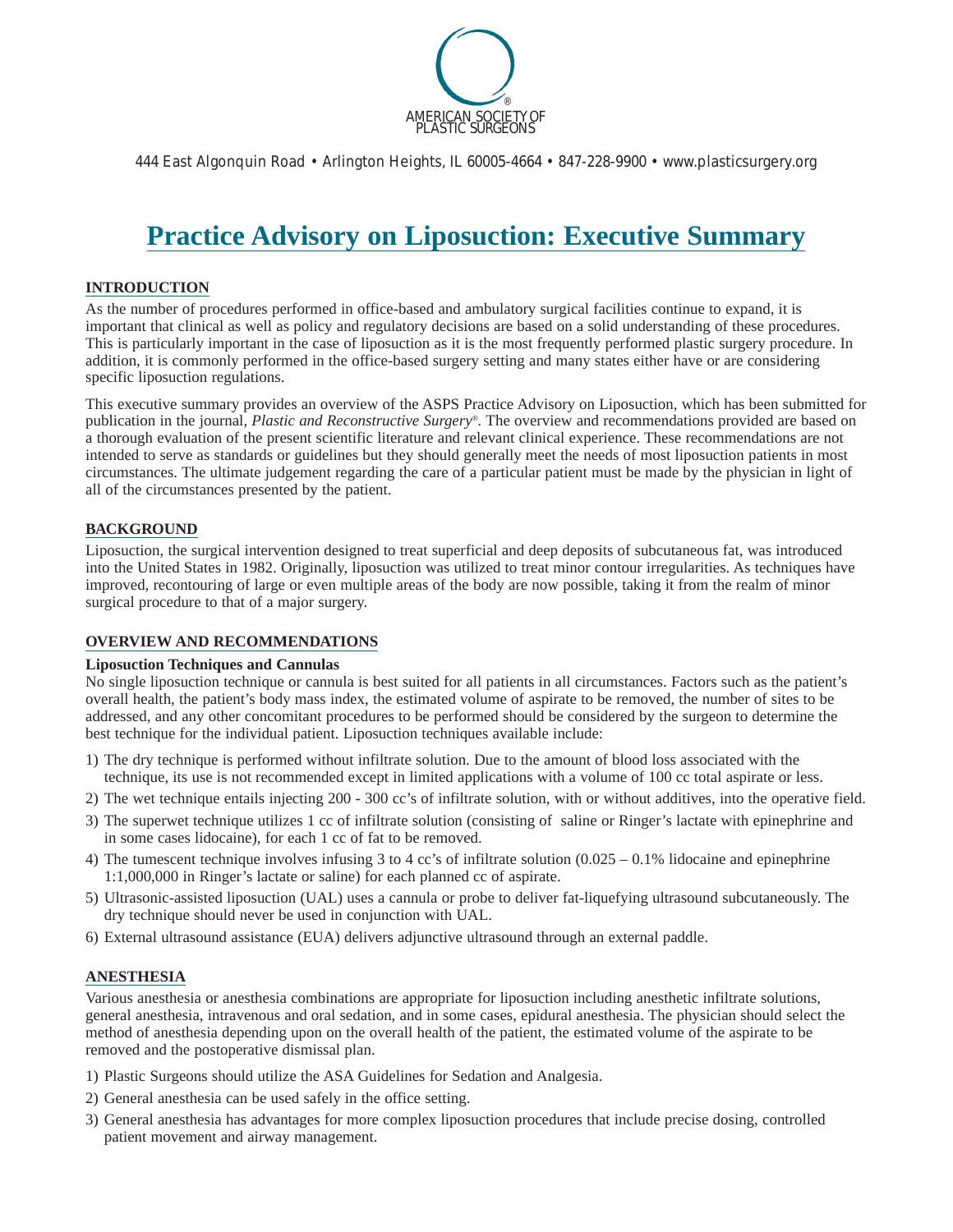

444 East Algonquin Road • Arlington Heights, IL 60005-4664 • 847-228-9900 • www.plasticsurgery.org

# **Practice Advisory on Liposuction: Executive Summary**

### **INTRODUCTION**

As the number of procedures performed in office-based and ambulatory surgical facilities continue to expand, it is important that clinical as well as policy and regulatory decisions are based on a solid understanding of these procedures. This is particularly important in the case of liposuction as it is the most frequently performed plastic surgery procedure. In addition, it is commonly performed in the office-based surgery setting and many states either have or are considering specific liposuction regulations.

This executive summary provides an overview of the ASPS Practice Advisory on Liposuction, which has been submitted for publication in the journal, *Plastic and Reconstructive Surgery®.* The overview and recommendations provided are based on a thorough evaluation of the present scientific literature and relevant clinical experience. These recommendations are not intended to serve as standards or guidelines but they should generally meet the needs of most liposuction patients in most circumstances. The ultimate judgement regarding the care of a particular patient must be made by the physician in light of all of the circumstances presented by the patient.

#### **BACKGROUND**

Liposuction, the surgical intervention designed to treat superficial and deep deposits of subcutaneous fat, was introduced into the United States in 1982. Originally, liposuction was utilized to treat minor contour irregularities. As techniques have improved, recontouring of large or even multiple areas of the body are now possible, taking it from the realm of minor surgical procedure to that of a major surgery.

### **OVERVIEW AND RECOMMENDATIONS**

#### **Liposuction Techniques and Cannulas**

No single liposuction technique or cannula is best suited for all patients in all circumstances. Factors such as the patient's overall health, the patient's body mass index, the estimated volume of aspirate to be removed, the number of sites to be addressed, and any other concomitant procedures to be performed should be considered by the surgeon to determine the best technique for the individual patient. Liposuction techniques available include:

- 1) The dry technique is performed without infiltrate solution. Due to the amount of blood loss associated with the technique, its use is not recommended except in limited applications with a volume of 100 cc total aspirate or less.
- 2) The wet technique entails injecting 200 300 cc's of infiltrate solution, with or without additives, into the operative field.
- 3) The superwet technique utilizes 1 cc of infiltrate solution (consisting of saline or Ringer's lactate with epinephrine and in some cases lidocaine), for each 1 cc of fat to be removed.
- 4) The tumescent technique involves infusing 3 to 4 cc's of infiltrate solution  $(0.025 0.1\%$  lidocaine and epinephrine 1:1,000,000 in Ringer's lactate or saline) for each planned cc of aspirate.
- 5) Ultrasonic-assisted liposuction (UAL) uses a cannula or probe to deliver fat-liquefying ultrasound subcutaneously. The dry technique should never be used in conjunction with UAL.
- 6) External ultrasound assistance (EUA) delivers adjunctive ultrasound through an external paddle.

### **ANESTHESIA**

Various anesthesia or anesthesia combinations are appropriate for liposuction including anesthetic infiltrate solutions, general anesthesia, intravenous and oral sedation, and in some cases, epidural anesthesia. The physician should select the method of anesthesia depending upon on the overall health of the patient, the estimated volume of the aspirate to be removed and the postoperative dismissal plan.

- 1) Plastic Surgeons should utilize the ASA Guidelines for Sedation and Analgesia.
- 2) General anesthesia can be used safely in the office setting.
- 3) General anesthesia has advantages for more complex liposuction procedures that include precise dosing, controlled patient movement and airway management.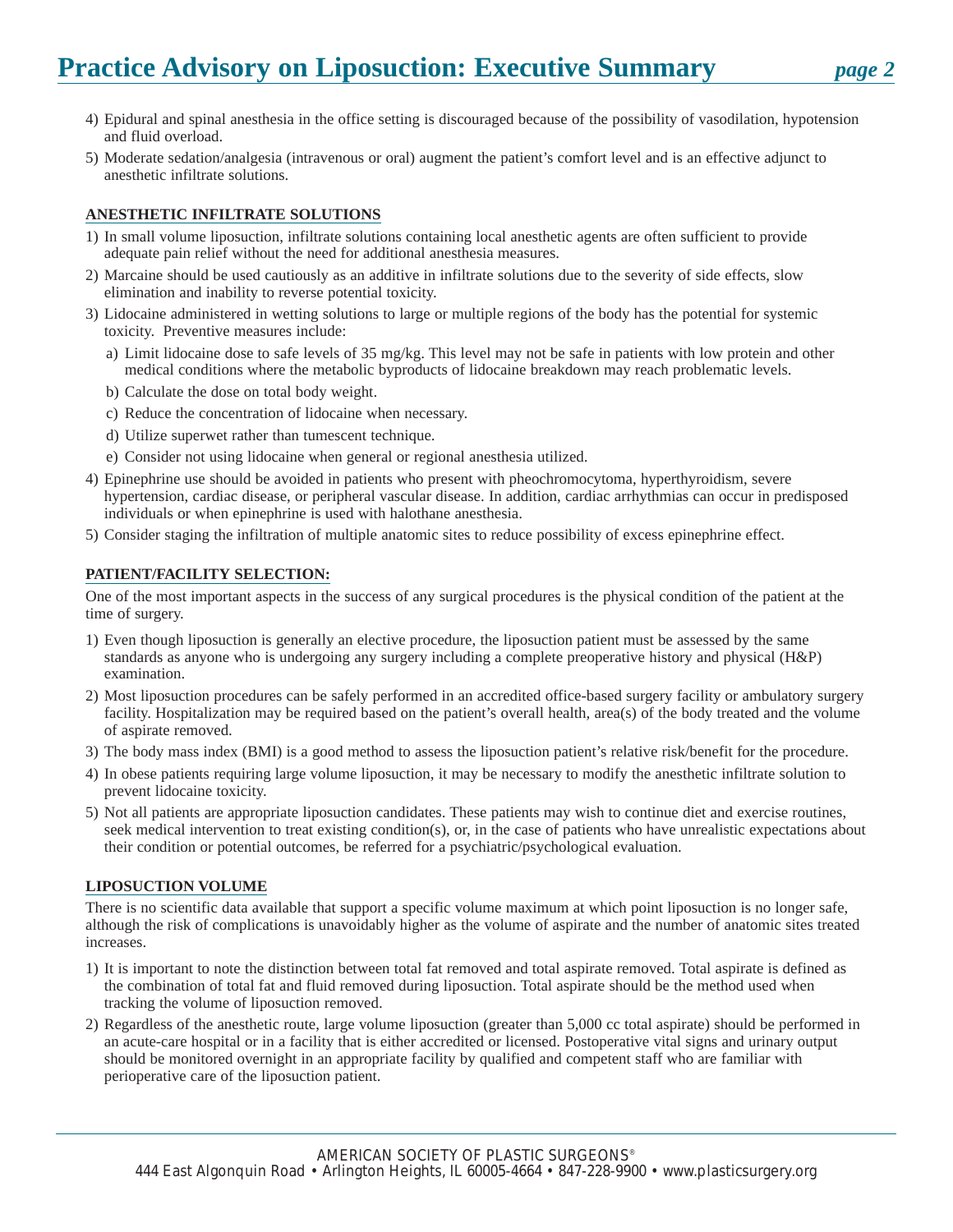# **Practice Advisory on Liposuction: Executive Summary** *page 2*

- 4) Epidural and spinal anesthesia in the office setting is discouraged because of the possibility of vasodilation, hypotension and fluid overload.
- 5) Moderate sedation/analgesia (intravenous or oral) augment the patient's comfort level and is an effective adjunct to anesthetic infiltrate solutions.

## **ANESTHETIC INFILTRATE SOLUTIONS**

- 1) In small volume liposuction, infiltrate solutions containing local anesthetic agents are often sufficient to provide adequate pain relief without the need for additional anesthesia measures.
- 2) Marcaine should be used cautiously as an additive in infiltrate solutions due to the severity of side effects, slow elimination and inability to reverse potential toxicity.
- 3) Lidocaine administered in wetting solutions to large or multiple regions of the body has the potential for systemic toxicity. Preventive measures include:
	- a) Limit lidocaine dose to safe levels of 35 mg/kg. This level may not be safe in patients with low protein and other medical conditions where the metabolic byproducts of lidocaine breakdown may reach problematic levels.
	- b) Calculate the dose on total body weight.
	- c) Reduce the concentration of lidocaine when necessary.
	- d) Utilize superwet rather than tumescent technique.
	- e) Consider not using lidocaine when general or regional anesthesia utilized.
- 4) Epinephrine use should be avoided in patients who present with pheochromocytoma, hyperthyroidism, severe hypertension, cardiac disease, or peripheral vascular disease. In addition, cardiac arrhythmias can occur in predisposed individuals or when epinephrine is used with halothane anesthesia.
- 5) Consider staging the infiltration of multiple anatomic sites to reduce possibility of excess epinephrine effect.

### **PATIENT/FACILITY SELECTION:**

One of the most important aspects in the success of any surgical procedures is the physical condition of the patient at the time of surgery.

- 1) Even though liposuction is generally an elective procedure, the liposuction patient must be assessed by the same standards as anyone who is undergoing any surgery including a complete preoperative history and physical (H&P) examination.
- 2) Most liposuction procedures can be safely performed in an accredited office-based surgery facility or ambulatory surgery facility. Hospitalization may be required based on the patient's overall health, area(s) of the body treated and the volume of aspirate removed.
- 3) The body mass index (BMI) is a good method to assess the liposuction patient's relative risk/benefit for the procedure.
- 4) In obese patients requiring large volume liposuction, it may be necessary to modify the anesthetic infiltrate solution to prevent lidocaine toxicity.
- 5) Not all patients are appropriate liposuction candidates. These patients may wish to continue diet and exercise routines, seek medical intervention to treat existing condition(s), or, in the case of patients who have unrealistic expectations about their condition or potential outcomes, be referred for a psychiatric/psychological evaluation.

### **LIPOSUCTION VOLUME**

There is no scientific data available that support a specific volume maximum at which point liposuction is no longer safe, although the risk of complications is unavoidably higher as the volume of aspirate and the number of anatomic sites treated increases.

- 1) It is important to note the distinction between total fat removed and total aspirate removed. Total aspirate is defined as the combination of total fat and fluid removed during liposuction. Total aspirate should be the method used when tracking the volume of liposuction removed.
- 2) Regardless of the anesthetic route, large volume liposuction (greater than 5,000 cc total aspirate) should be performed in an acute-care hospital or in a facility that is either accredited or licensed. Postoperative vital signs and urinary output should be monitored overnight in an appropriate facility by qualified and competent staff who are familiar with perioperative care of the liposuction patient.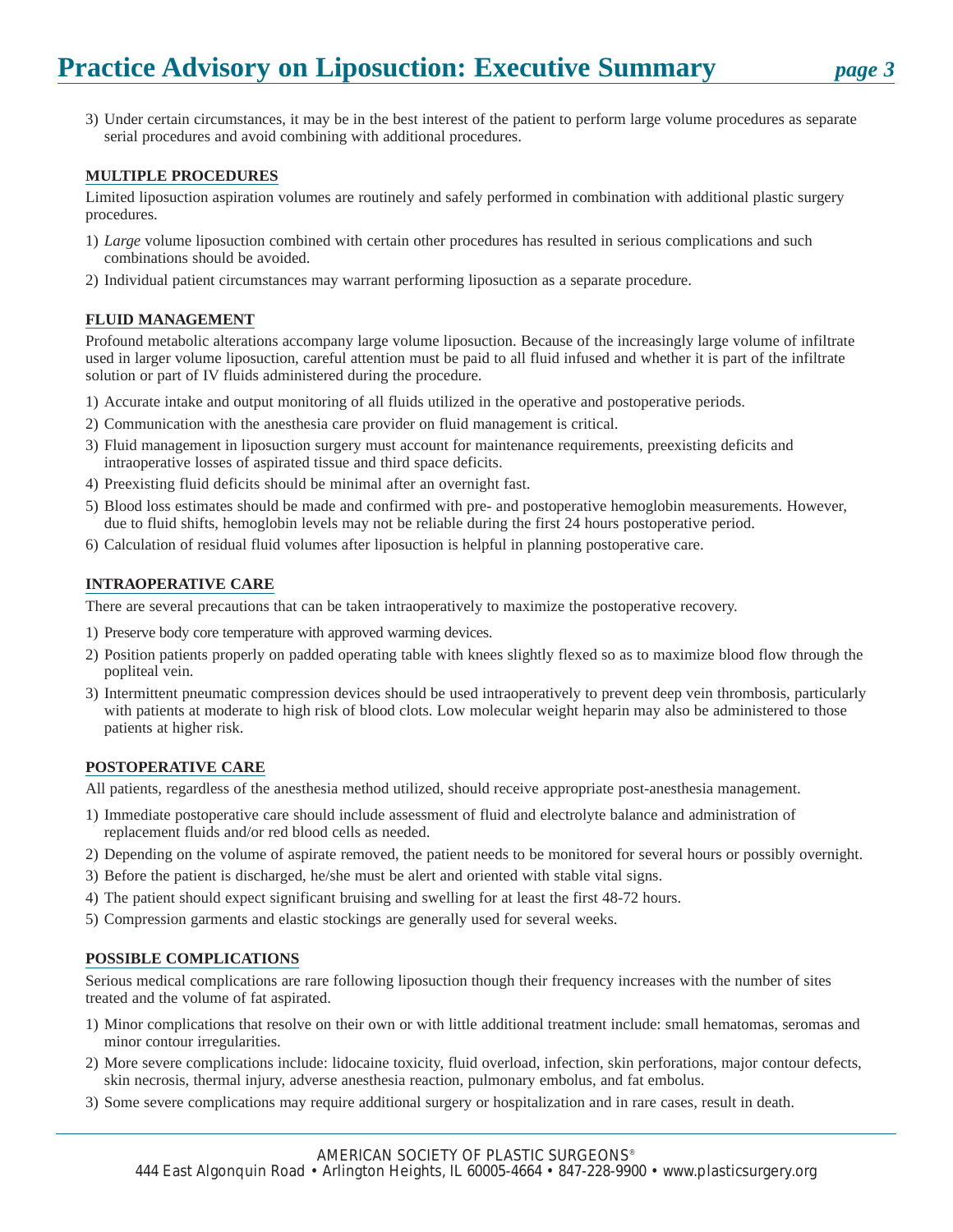3) Under certain circumstances, it may be in the best interest of the patient to perform large volume procedures as separate serial procedures and avoid combining with additional procedures.

### **MULTIPLE PROCEDURES**

Limited liposuction aspiration volumes are routinely and safely performed in combination with additional plastic surgery procedures.

- 1) *Large* volume liposuction combined with certain other procedures has resulted in serious complications and such combinations should be avoided.
- 2) Individual patient circumstances may warrant performing liposuction as a separate procedure.

### **FLUID MANAGEMENT**

Profound metabolic alterations accompany large volume liposuction. Because of the increasingly large volume of infiltrate used in larger volume liposuction, careful attention must be paid to all fluid infused and whether it is part of the infiltrate solution or part of IV fluids administered during the procedure.

- 1) Accurate intake and output monitoring of all fluids utilized in the operative and postoperative periods.
- 2) Communication with the anesthesia care provider on fluid management is critical.
- 3) Fluid management in liposuction surgery must account for maintenance requirements, preexisting deficits and intraoperative losses of aspirated tissue and third space deficits.
- 4) Preexisting fluid deficits should be minimal after an overnight fast.
- 5) Blood loss estimates should be made and confirmed with pre- and postoperative hemoglobin measurements. However, due to fluid shifts, hemoglobin levels may not be reliable during the first 24 hours postoperative period.
- 6) Calculation of residual fluid volumes after liposuction is helpful in planning postoperative care.

### **INTRAOPERATIVE CARE**

There are several precautions that can be taken intraoperatively to maximize the postoperative recovery.

- 1) Preserve body core temperature with approved warming devices.
- 2) Position patients properly on padded operating table with knees slightly flexed so as to maximize blood flow through the popliteal vein.
- 3) Intermittent pneumatic compression devices should be used intraoperatively to prevent deep vein thrombosis, particularly with patients at moderate to high risk of blood clots. Low molecular weight heparin may also be administered to those patients at higher risk.

### **POSTOPERATIVE CARE**

All patients, regardless of the anesthesia method utilized, should receive appropriate post-anesthesia management.

- 1) Immediate postoperative care should include assessment of fluid and electrolyte balance and administration of replacement fluids and/or red blood cells as needed.
- 2) Depending on the volume of aspirate removed, the patient needs to be monitored for several hours or possibly overnight.
- 3) Before the patient is discharged, he/she must be alert and oriented with stable vital signs.
- 4) The patient should expect significant bruising and swelling for at least the first 48-72 hours.
- 5) Compression garments and elastic stockings are generally used for several weeks.

## **POSSIBLE COMPLICATIONS**

Serious medical complications are rare following liposuction though their frequency increases with the number of sites treated and the volume of fat aspirated.

- 1) Minor complications that resolve on their own or with little additional treatment include: small hematomas, seromas and minor contour irregularities.
- 2) More severe complications include: lidocaine toxicity, fluid overload, infection, skin perforations, major contour defects, skin necrosis, thermal injury, adverse anesthesia reaction, pulmonary embolus, and fat embolus.
- 3) Some severe complications may require additional surgery or hospitalization and in rare cases, result in death.